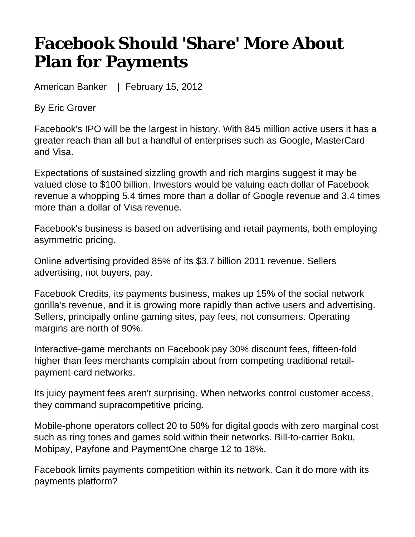## **Facebook Should 'Share' More About Plan for Payments**

American Banker | February 15, 2012

By Eric Grover

Facebook's IPO will be the largest in history. With 845 million active users it has a greater reach than all but a handful of enterprises such as Google, MasterCard and Visa.

Expectations of sustained sizzling growth and rich margins suggest it may be valued close to \$100 billion. Investors would be valuing each dollar of Facebook revenue a whopping 5.4 times more than a dollar of Google revenue and 3.4 times more than a dollar of Visa revenue.

Facebook's business is based on advertising and retail payments, both employing asymmetric pricing.

Online advertising provided 85% of its \$3.7 billion 2011 revenue. Sellers advertising, not buyers, pay.

Facebook Credits, its payments business, makes up 15% of the social network gorilla's revenue, and it is growing more rapidly than active users and advertising. Sellers, principally online gaming sites, pay fees, not consumers. Operating margins are north of 90%.

Interactive-game merchants on Facebook pay 30% discount fees, fifteen-fold higher than fees merchants complain about from competing traditional retailpayment-card networks.

Its juicy payment fees aren't surprising. When networks control customer access, they command supracompetitive pricing.

Mobile-phone operators collect 20 to 50% for digital goods with zero marginal cost such as ring tones and games sold within their networks. Bill-to-carrier Boku, Mobipay, Payfone and PaymentOne charge 12 to 18%.

Facebook limits payments competition within its network. Can it do more with its payments platform?